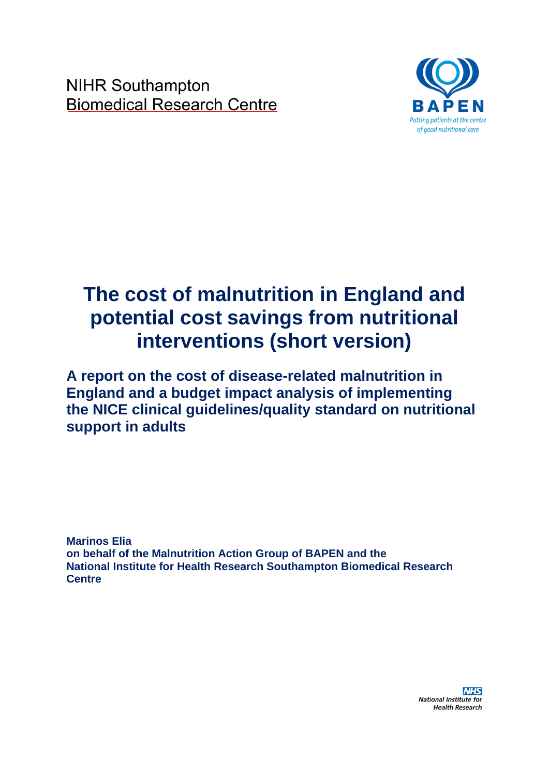NIHR Southampton Biomedical Research Centre



# **The cost of malnutrition in England and potential cost savings from nutritional interventions (short version)**

**A report on the cost of disease-related malnutrition in England and a budget impact analysis of implementing the NICE clinical guidelines/quality standard on nutritional support in adults**

**Marinos Elia on behalf of the Malnutrition Action Group of BAPEN and the National Institute for Health Research Southampton Biomedical Research Centre**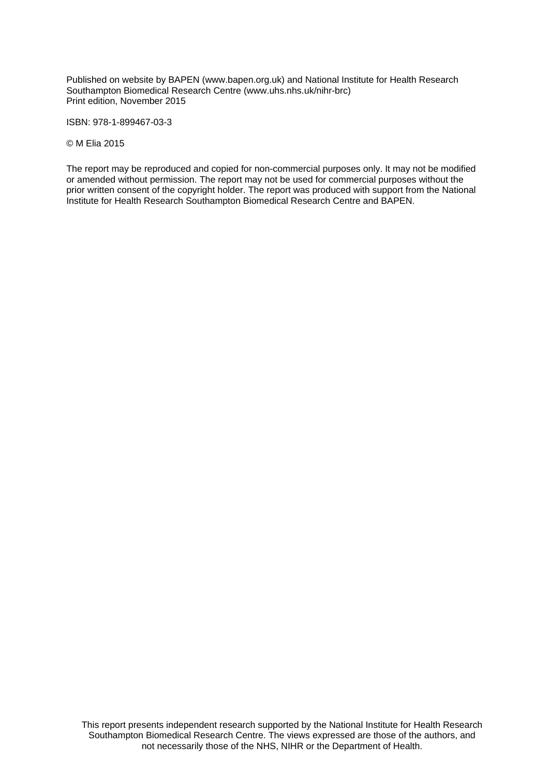Published on website by BAPEN (www.bapen.org.uk) and National Institute for Health Research Southampton Biomedical Research Centre (www.uhs.nhs.uk/nihr-brc) Print edition, November 2015

ISBN: 978-1-899467-03-3

© M Elia 2015

The report may be reproduced and copied for non-commercial purposes only. It may not be modified or amended without permission. The report may not be used for commercial purposes without the prior written consent of the copyright holder. The report was produced with support from the National Institute for Health Research Southampton Biomedical Research Centre and BAPEN.

This report presents independent research supported by the National Institute for Health Research Southampton Biomedical Research Centre. The views expressed are those of the authors, and not necessarily those of the NHS, NIHR or the Department of Health.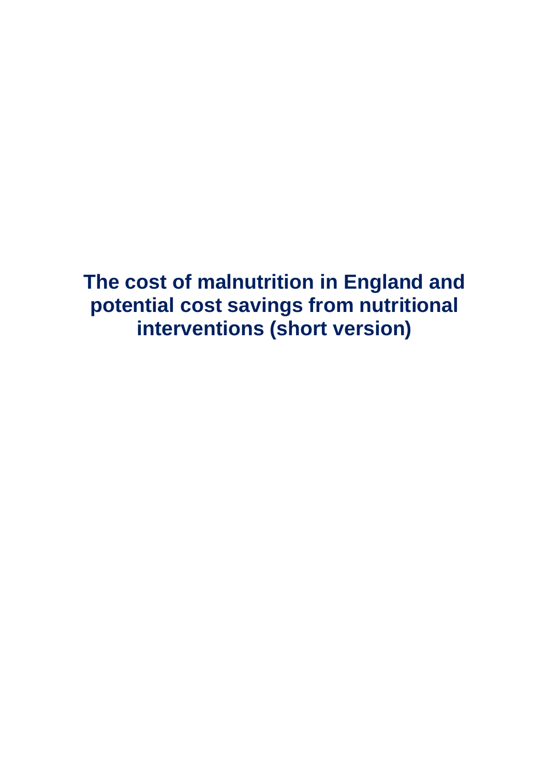**The cost of malnutrition in England and potential cost savings from nutritional interventions (short version)**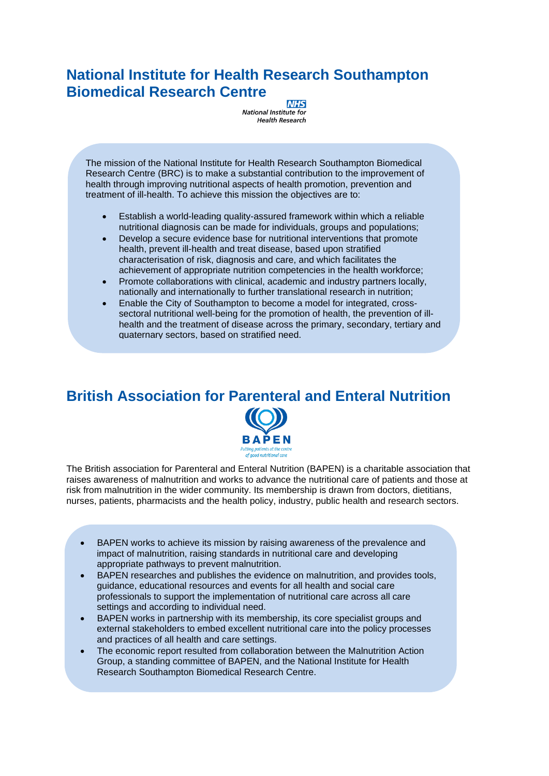## **National Institute for Health Research Southampton Biomedical Research Centre**

**NHS** National Institute for **Health Research** 

The mission of the National Institute for Health Research Southampton Biomedical Research Centre (BRC) is to make a substantial contribution to the improvement of health through improving nutritional aspects of health promotion, prevention and treatment of ill-health. To achieve this mission the objectives are to:

- Establish a world-leading quality-assured framework within which a reliable nutritional diagnosis can be made for individuals, groups and populations;
- Develop a secure evidence base for nutritional interventions that promote health, prevent ill-health and treat disease, based upon stratified characterisation of risk, diagnosis and care, and which facilitates the achievement of appropriate nutrition competencies in the health workforce;
- Promote collaborations with clinical, academic and industry partners locally, nationally and internationally to further translational research in nutrition;
- Enable the City of Southampton to become a model for integrated, crosssectoral nutritional well-being for the promotion of health, the prevention of illhealth and the treatment of disease across the primary, secondary, tertiary and quaternary sectors, based on stratified need.

# **British Association for Parenteral and Enteral Nutrition**



The British association for Parenteral and Enteral Nutrition (BAPEN) is a charitable association that raises awareness of malnutrition and works to advance the nutritional care of patients and those at risk from malnutrition in the wider community. Its membership is drawn from doctors, dietitians, nurses, patients, pharmacists and the health policy, industry, public health and research sectors.

- BAPEN works to achieve its mission by raising awareness of the prevalence and impact of malnutrition, raising standards in nutritional care and developing appropriate pathways to prevent malnutrition.
- BAPEN researches and publishes the evidence on malnutrition, and provides tools, guidance, educational resources and events for all health and social care professionals to support the implementation of nutritional care across all care settings and according to individual need.
- BAPEN works in partnership with its membership, its core specialist groups and external stakeholders to embed excellent nutritional care into the policy processes and practices of all health and care settings.
- The economic report resulted from collaboration between the Malnutrition Action Group, a standing committee of BAPEN, and the National Institute for Health Research Southampton Biomedical Research Centre.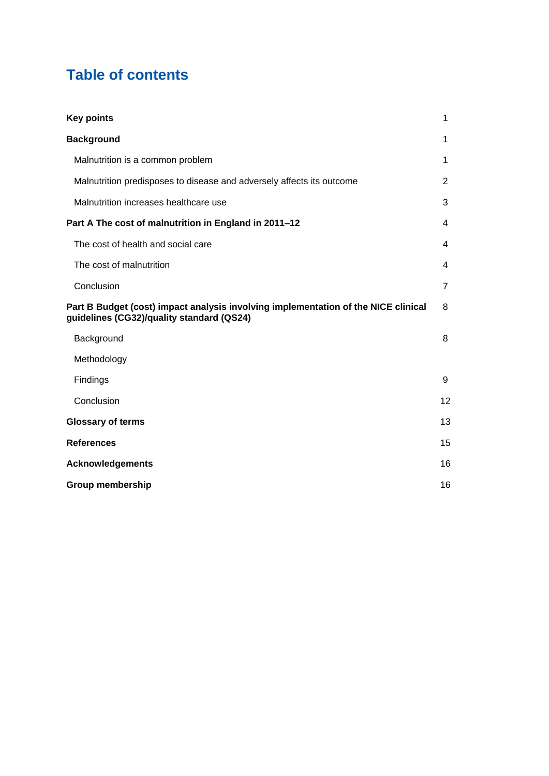## **Table of contents**

| <b>Key points</b>                                                                                                               | 1              |
|---------------------------------------------------------------------------------------------------------------------------------|----------------|
| <b>Background</b>                                                                                                               | $\mathbf 1$    |
| Malnutrition is a common problem                                                                                                | 1              |
| Malnutrition predisposes to disease and adversely affects its outcome                                                           | 2              |
| Malnutrition increases healthcare use                                                                                           | 3              |
| Part A The cost of malnutrition in England in 2011-12                                                                           | 4              |
| The cost of health and social care                                                                                              | 4              |
| The cost of malnutrition                                                                                                        | 4              |
| Conclusion                                                                                                                      | $\overline{7}$ |
| Part B Budget (cost) impact analysis involving implementation of the NICE clinical<br>guidelines (CG32)/quality standard (QS24) | 8              |
| Background                                                                                                                      | 8              |
| Methodology                                                                                                                     |                |
| Findings                                                                                                                        | 9              |
| Conclusion                                                                                                                      | 12             |
| <b>Glossary of terms</b>                                                                                                        | 13             |
| <b>References</b>                                                                                                               | 15             |
| <b>Acknowledgements</b>                                                                                                         | 16             |
| <b>Group membership</b>                                                                                                         | 16             |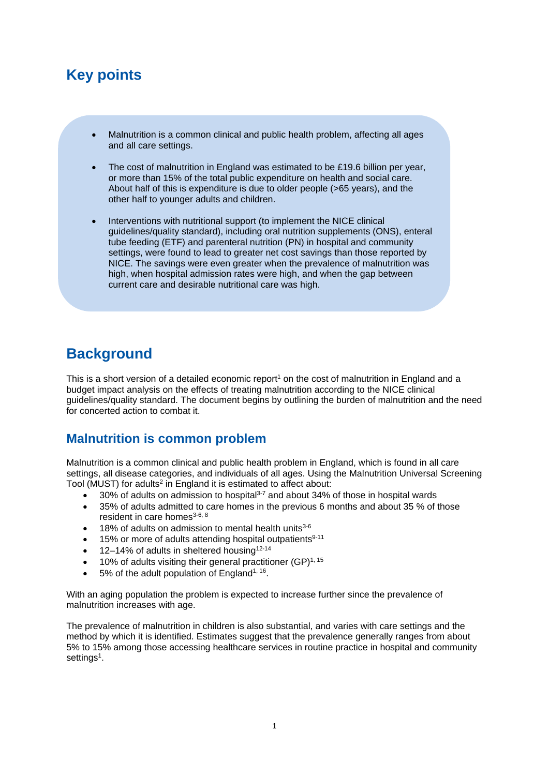## **Key points**

- Malnutrition is a common clinical and public health problem, affecting all ages and all care settings.
- The cost of malnutrition in England was estimated to be £19.6 billion per year, or more than 15% of the total public expenditure on health and social care. About half of this is expenditure is due to older people (>65 years), and the other half to younger adults and children.
- Interventions with nutritional support (to implement the NICE clinical guidelines/quality standard), including oral nutrition supplements (ONS), enteral tube feeding (ETF) and parenteral nutrition (PN) in hospital and community settings, were found to lead to greater net cost savings than those reported by NICE. The savings were even greater when the prevalence of malnutrition was high, when hospital admission rates were high, and when the gap between current care and desirable nutritional care was high.

## **Background**

This is a short version of a detailed economic report<sup>[1](#page-19-0)</sup> on the cost of malnutrition in England and a budget impact analysis on the effects of treating malnutrition according to the NICE clinical guidelines/quality standard. The document begins by outlining the burden of malnutrition and the need for concerted action to combat it.

#### **Malnutrition is common problem**

Malnutrition is a common clinical and public health problem in England, which is found in all care settings, all disease categories, and individuals of all ages. Using the Malnutrition Universal Screening Tool (MUST) for adults<sup>[2](#page-19-1)</sup> in England it is estimated to affect about:

- $30\%$  of adults on admission to hospital<sup>[3-7](#page-19-2)</sup> and about 34% of those in hospital wards
- 35% of adults admitted to care homes in the previous 6 months and about 35 % of those resident in care homes<sup>[3-6,](#page-19-2) [8](#page-19-3)</sup>
- $\bullet$  18% of adults on admission to mental health units<sup>[3-6](#page-19-2)</sup>
- $\bullet$  15% or more of adults attending hospital outpatients<sup>[9-11](#page-19-4)</sup>
- 12–14% of adults in sheltered housing[12-14](#page-19-5)
- $\bullet$  10% of adults visiting their general practitioner (GP)<sup>[1,](#page-19-0) [15](#page-19-6)</sup>
- $\bullet$  5% of the adult population of England<sup>[1,](#page-19-0) [16](#page-19-7)</sup>.

With an aging population the problem is expected to increase further since the prevalence of malnutrition increases with age.

The prevalence of malnutrition in children is also substantial, and varies with care settings and the method by which it is identified. Estimates suggest that the prevalence generally ranges from about 5% to 15% among those accessing healthcare services in routine practice in hospital and community [s](#page-19-0)ettings<sup>1</sup>.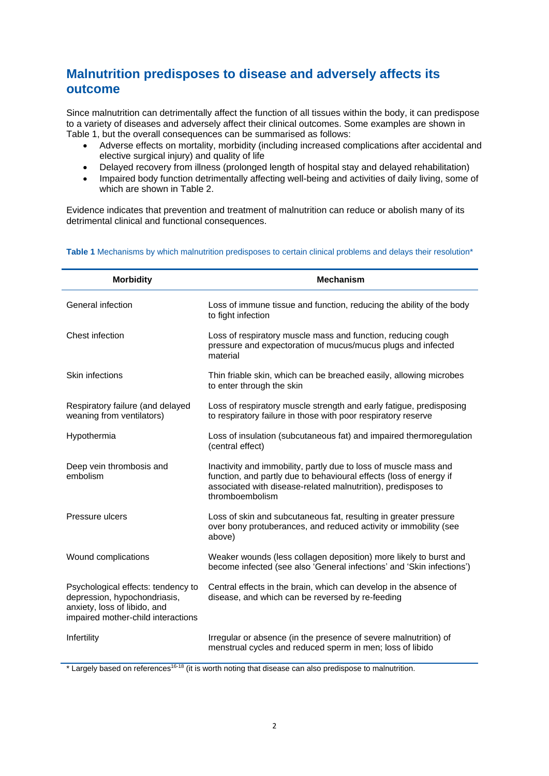### **Malnutrition predisposes to disease and adversely affects its outcome**

Since malnutrition can detrimentally affect the function of all tissues within the body, it can predispose to a variety of diseases and adversely affect their clinical outcomes. Some examples are shown in Table 1, but the overall consequences can be summarised as follows:

- Adverse effects on mortality, morbidity (including increased complications after accidental and elective surgical injury) and quality of life
- Delayed recovery from illness (prolonged length of hospital stay and delayed rehabilitation)
- Impaired body function detrimentally affecting well-being and activities of daily living, some of which are shown in Table 2.

Evidence indicates that prevention and treatment of malnutrition can reduce or abolish many of its detrimental clinical and functional consequences.

| <b>Morbidity</b>                                                                                                                         | <b>Mechanism</b>                                                                                                                                                                                                           |  |  |
|------------------------------------------------------------------------------------------------------------------------------------------|----------------------------------------------------------------------------------------------------------------------------------------------------------------------------------------------------------------------------|--|--|
| General infection                                                                                                                        | Loss of immune tissue and function, reducing the ability of the body<br>to fight infection                                                                                                                                 |  |  |
| Chest infection                                                                                                                          | Loss of respiratory muscle mass and function, reducing cough<br>pressure and expectoration of mucus/mucus plugs and infected<br>material                                                                                   |  |  |
| Skin infections                                                                                                                          | Thin friable skin, which can be breached easily, allowing microbes<br>to enter through the skin                                                                                                                            |  |  |
| Respiratory failure (and delayed<br>weaning from ventilators)                                                                            | Loss of respiratory muscle strength and early fatigue, predisposing<br>to respiratory failure in those with poor respiratory reserve                                                                                       |  |  |
| Hypothermia                                                                                                                              | Loss of insulation (subcutaneous fat) and impaired thermoregulation<br>(central effect)                                                                                                                                    |  |  |
| Deep vein thrombosis and<br>embolism                                                                                                     | Inactivity and immobility, partly due to loss of muscle mass and<br>function, and partly due to behavioural effects (loss of energy if<br>associated with disease-related malnutrition), predisposes to<br>thromboembolism |  |  |
| Pressure ulcers                                                                                                                          | Loss of skin and subcutaneous fat, resulting in greater pressure<br>over bony protuberances, and reduced activity or immobility (see<br>above)                                                                             |  |  |
| Wound complications                                                                                                                      | Weaker wounds (less collagen deposition) more likely to burst and<br>become infected (see also 'General infections' and 'Skin infections')                                                                                 |  |  |
| Psychological effects: tendency to<br>depression, hypochondriasis,<br>anxiety, loss of libido, and<br>impaired mother-child interactions | Central effects in the brain, which can develop in the absence of<br>disease, and which can be reversed by re-feeding                                                                                                      |  |  |
| Infertility                                                                                                                              | Irregular or absence (in the presence of severe malnutrition) of<br>menstrual cycles and reduced sperm in men; loss of libido                                                                                              |  |  |

#### Table 1 Mechanisms by which malnutrition predisposes to certain clinical problems and delays their resolution<sup>\*</sup>

\* Largely based on references[16-18](#page-19-7) (it is worth noting that disease can also predispose to malnutrition.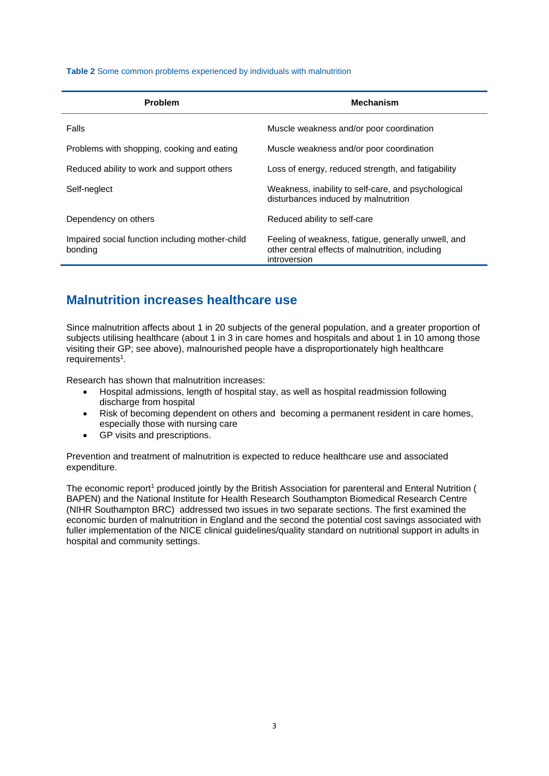**Table 2** Some common problems experienced by individuals with malnutrition

| <b>Problem</b>                                             | <b>Mechanism</b>                                                                                                        |  |  |
|------------------------------------------------------------|-------------------------------------------------------------------------------------------------------------------------|--|--|
| Falls                                                      | Muscle weakness and/or poor coordination                                                                                |  |  |
| Problems with shopping, cooking and eating                 | Muscle weakness and/or poor coordination                                                                                |  |  |
| Reduced ability to work and support others                 | Loss of energy, reduced strength, and fatigability                                                                      |  |  |
| Self-neglect                                               | Weakness, inability to self-care, and psychological<br>disturbances induced by malnutrition                             |  |  |
| Dependency on others                                       | Reduced ability to self-care                                                                                            |  |  |
| Impaired social function including mother-child<br>bonding | Feeling of weakness, fatigue, generally unwell, and<br>other central effects of malnutrition, including<br>introversion |  |  |

#### **Malnutrition increases healthcare use**

Since malnutrition affects about 1 in 20 subjects of the general population, and a greater proportion of subjects utilising healthcare (about 1 in 3 in care homes and hospitals and about 1 in 10 among those visiting their GP; see above), malnourished people have a disproportionately high healthcare requirement[s](#page-19-0)<sup>1</sup>.

Research has shown that malnutrition increases:

- Hospital admissions, length of hospital stay, as well as hospital readmission following discharge from hospital
- Risk of becoming dependent on others and becoming a permanent resident in care homes, especially those with nursing care
- GP visits and prescriptions.

Prevention and treatment of malnutrition is expected to reduce healthcare use and associated expenditure.

The economic repor[t](#page-19-0)<sup>1</sup> produced jointly by the British Association for parenteral and Enteral Nutrition ( BAPEN) and the National Institute for Health Research Southampton Biomedical Research Centre (NIHR Southampton BRC) addressed two issues in two separate sections. The first examined the economic burden of malnutrition in England and the second the potential cost savings associated with fuller implementation of the NICE clinical guidelines/quality standard on nutritional support in adults in hospital and community settings.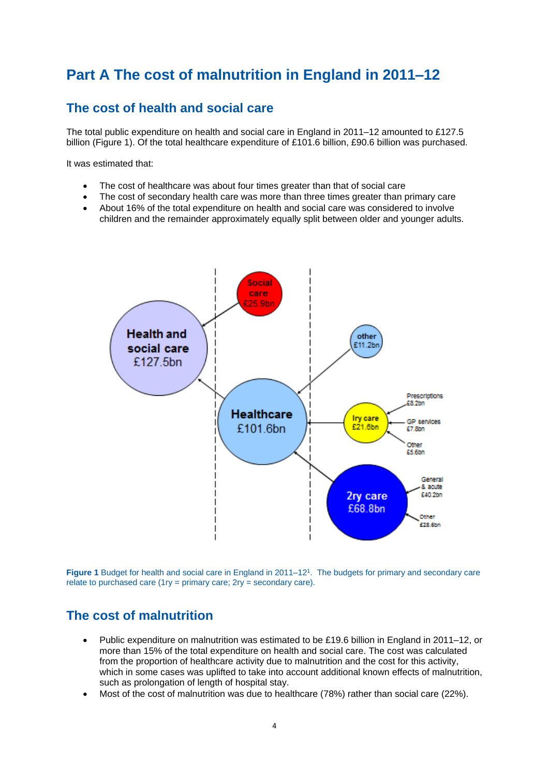## **Part A The cost of malnutrition in England in 2011–12**

#### **The cost of health and social care**

The total public expenditure on health and social care in England in 2011–12 amounted to £127.5 billion (Figure 1). Of the total healthcare expenditure of £101.6 billion, £90.6 billion was purchased.

It was estimated that:

- The cost of healthcare was about four times greater than that of social care
- The cost of secondary health care was more than three times greater than primary care
- About 16% of the total expenditure on health and social care was considered to involve children and the remainder approximately equally split between older and younger adults.



Figure 1 Budget for health and social care in England in 2011–12<sup>1</sup>[.](#page-19-0) The budgets for primary and secondary care relate to purchased care (1ry = primary care;  $2ry =$  secondary care).

### **The cost of malnutrition**

- Public expenditure on malnutrition was estimated to be £19.6 billion in England in 2011–12, or more than 15% of the total expenditure on health and social care. The cost was calculated from the proportion of healthcare activity due to malnutrition and the cost for this activity, which in some cases was uplifted to take into account additional known effects of malnutrition, such as prolongation of length of hospital stay.
- Most of the cost of malnutrition was due to healthcare (78%) rather than social care (22%).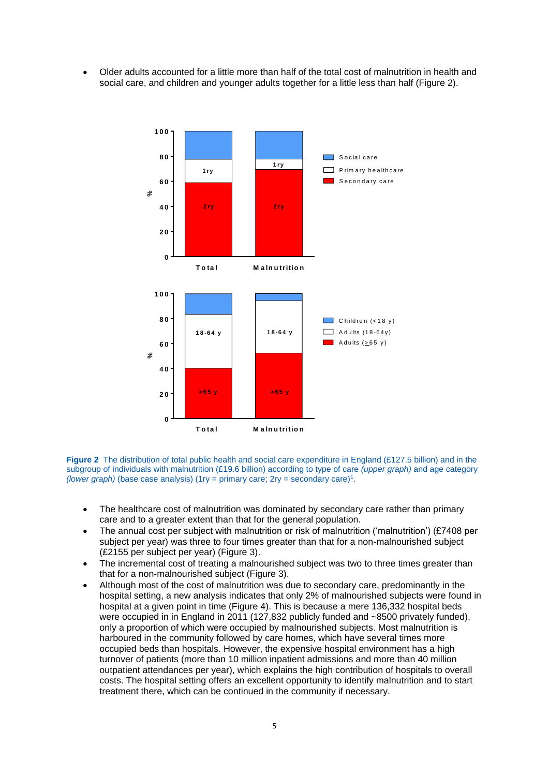Older adults accounted for a little more than half of the total cost of malnutrition in health and social care, and children and younger adults together for a little less than half (Figure 2).



**Figure 2** The distribution of total public health and social care expenditure in England (£127.5 billion) and in the subgroup of individuals with malnutrition (£19.6 billion) according to type of care *(upper graph)* and age category *(lower graph)* (base case analysis) (1ry = primary care; 2ry = secondary care)<sup>1</sup>[.](#page-19-0)

- The healthcare cost of malnutrition was dominated by secondary care rather than primary care and to a greater extent than that for the general population.
- The annual cost per subject with malnutrition or risk of malnutrition ('malnutrition') (£7408 per subject per year) was three to four times greater than that for a non-malnourished subject (£2155 per subject per year) (Figure 3).
- The incremental cost of treating a malnourished subject was two to three times greater than that for a non-malnourished subject (Figure 3).
- Although most of the cost of malnutrition was due to secondary care, predominantly in the hospital setting, a new analysis indicates that only 2% of malnourished subjects were found in hospital at a given point in time (Figure 4). This is because a mere 136,332 hospital beds were occupied in in England in 2011 (127,832 publicly funded and ~8500 privately funded), only a proportion of which were occupied by malnourished subjects. Most malnutrition is harboured in the community followed by care homes, which have several times more occupied beds than hospitals. However, the expensive hospital environment has a high turnover of patients (more than 10 million inpatient admissions and more than 40 million outpatient attendances per year), which explains the high contribution of hospitals to overall costs. The hospital setting offers an excellent opportunity to identify malnutrition and to start treatment there, which can be continued in the community if necessary.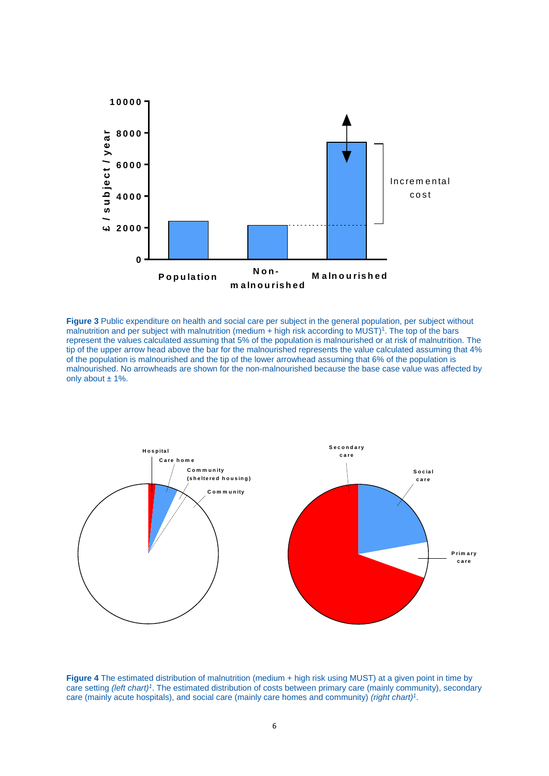

**Figure 3** Public expenditure on health and social care per subject in the general population, per subject without malnutrition and per subject with malnutrition (medium  $+$  high risk according to MUST)<sup>[1](#page-19-0)</sup>. The top of the bars represent the values calculated assuming that 5% of the population is malnourished or at risk of malnutrition. The tip of the upper arrow head above the bar for the malnourished represents the value calculated assuming that 4% of the population is malnourished and the tip of the lower arrowhead assuming that 6% of the population is malnourished. No arrowheads are shown for the non-malnourished because the base case value was affected by only about  $\pm$  1%.



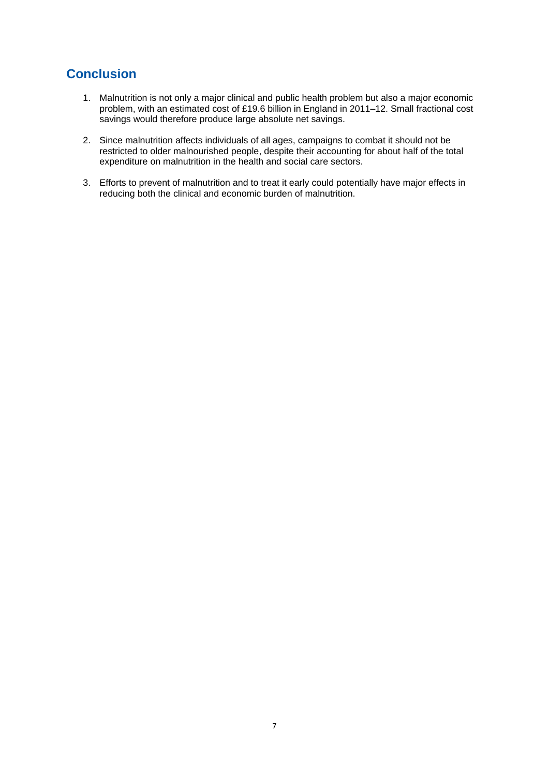## **Conclusion**

- 1. Malnutrition is not only a major clinical and public health problem but also a major economic problem, with an estimated cost of £19.6 billion in England in 2011–12. Small fractional cost savings would therefore produce large absolute net savings.
- 2. Since malnutrition affects individuals of all ages, campaigns to combat it should not be restricted to older malnourished people, despite their accounting for about half of the total expenditure on malnutrition in the health and social care sectors.
- 3. Efforts to prevent of malnutrition and to treat it early could potentially have major effects in reducing both the clinical and economic burden of malnutrition.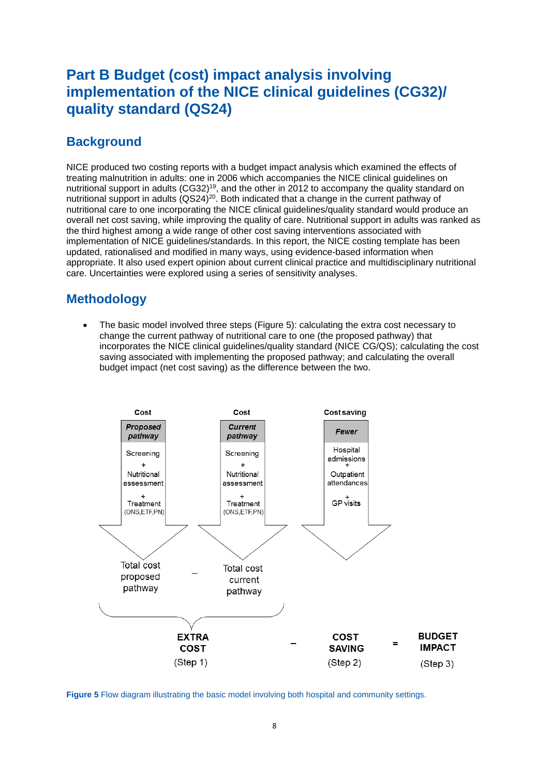## **Part B Budget (cost) impact analysis involving implementation of the NICE clinical guidelines (CG32)/ quality standard (QS24)**

#### **Background**

NICE produced two costing reports with a budget impact analysis which examined the effects of treating malnutrition in adults: one in 2006 which accompanies the NICE clinical guidelines on nutritional support in adults (CG32)<sup>[19](#page-19-8)</sup>, and the other in 2012 to accompany the quality standard on nutritional support in adults (QS24)<sup>[20](#page-19-9)</sup>. Both indicated that a change in the current pathway of nutritional care to one incorporating the NICE clinical guidelines/quality standard would produce an overall net cost saving, while improving the quality of care. Nutritional support in adults was ranked as the third highest among a wide range of other cost saving interventions associated with implementation of NICE guidelines/standards. In this report, the NICE costing template has been updated, rationalised and modified in many ways, using evidence-based information when appropriate. It also used expert opinion about current clinical practice and multidisciplinary nutritional care. Uncertainties were explored using a series of sensitivity analyses.

#### **Methodology**

 The basic model involved three steps (Figure 5): calculating the extra cost necessary to change the current pathway of nutritional care to one (the proposed pathway) that incorporates the NICE clinical guidelines/quality standard (NICE CG/QS); calculating the cost saving associated with implementing the proposed pathway; and calculating the overall budget impact (net cost saving) as the difference between the two.



**Figure 5** Flow diagram illustrating the basic model involving both hospital and community settings.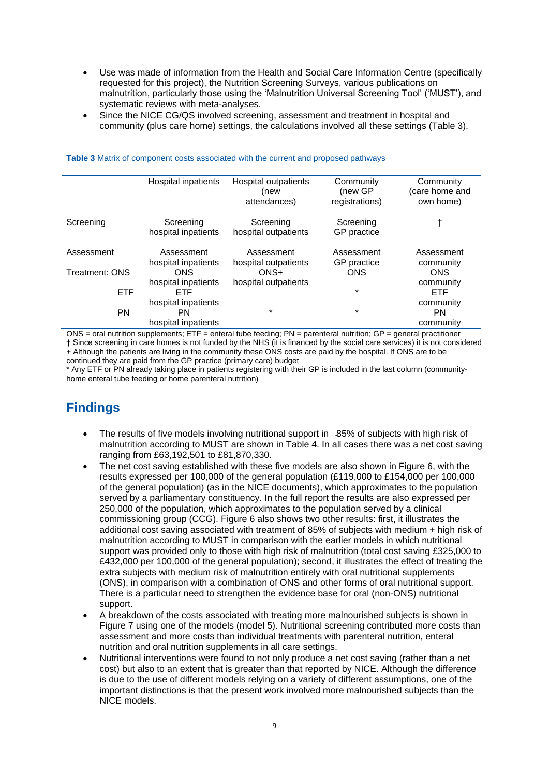- Use was made of information from the Health and Social Care Information Centre (specifically requested for this project), the Nutrition Screening Surveys, various publications on malnutrition, particularly those using the 'Malnutrition Universal Screening Tool' ('MUST'), and systematic reviews with meta-analyses.
- Since the NICE CG/QS involved screening, assessment and treatment in hospital and community (plus care home) settings, the calculations involved all these settings (Table 3).

|                       | Hospital inpatients | Hospital outpatients<br>(new<br>attendances) | Community<br>(new GP<br>registrations) | Community<br>(care home and<br>own home) |
|-----------------------|---------------------|----------------------------------------------|----------------------------------------|------------------------------------------|
| Screening             | Screening           | Screening                                    | Screening                              |                                          |
|                       | hospital inpatients | hospital outpatients                         | GP practice                            |                                          |
| Assessment            | Assessment          | Assessment                                   | Assessment                             | Assessment                               |
|                       | hospital inpatients | hospital outpatients                         | GP practice                            | community                                |
| <b>Treatment: ONS</b> | <b>ONS</b>          | $ONS+$                                       | <b>ONS</b>                             | <b>ONS</b>                               |
|                       | hospital inpatients | hospital outpatients                         |                                        | community                                |
| <b>ETF</b>            | <b>ETF</b>          |                                              | $\star$                                | <b>ETF</b>                               |
|                       | hospital inpatients |                                              |                                        | community                                |
| <b>PN</b>             | PN                  | $\star$                                      | $\star$                                | PN                                       |
|                       | hospital inpatients |                                              |                                        | community                                |

#### **Table 3** Matrix of component costs associated with the current and proposed pathways

ONS = oral nutrition supplements; ETF = enteral tube feeding; PN = parenteral nutrition; GP = general practitioner † Since screening in care homes is not funded by the NHS (it is financed by the social care services) it is not considered + Although the patients are living in the community these ONS costs are paid by the hospital. If ONS are to be continued they are paid from the GP practice (primary care) budget

\* Any ETF or PN already taking place in patients registering with their GP is included in the last column (communityhome enteral tube feeding or home parenteral nutrition)

### **Findings**

- The results of five models involving nutritional support in  $35\%$  of subjects with high risk of malnutrition according to MUST are shown in Table 4. In all cases there was a net cost saving ranging from £63,192,501 to £81,870,330.
- The net cost saving established with these five models are also shown in Figure 6, with the results expressed per 100,000 of the general population (£119,000 to £154,000 per 100,000 of the general population) (as in the NICE documents), which approximates to the population served by a parliamentary constituency. In the full report the results are also expressed per 250,000 of the population, which approximates to the population served by a clinical commissioning group (CCG). Figure 6 also shows two other results: first, it illustrates the additional cost saving associated with treatment of 85% of subjects with medium + high risk of malnutrition according to MUST in comparison with the earlier models in which nutritional support was provided only to those with high risk of malnutrition (total cost saving £325,000 to £432,000 per 100,000 of the general population); second, it illustrates the effect of treating the extra subjects with medium risk of malnutrition entirely with oral nutritional supplements (ONS), in comparison with a combination of ONS and other forms of oral nutritional support. There is a particular need to strengthen the evidence base for oral (non-ONS) nutritional support.
- A breakdown of the costs associated with treating more malnourished subjects is shown in Figure 7 using one of the models (model 5). Nutritional screening contributed more costs than assessment and more costs than individual treatments with parenteral nutrition, enteral nutrition and oral nutrition supplements in all care settings.
- Nutritional interventions were found to not only produce a net cost saving (rather than a net cost) but also to an extent that is greater than that reported by NICE. Although the difference is due to the use of different models relying on a variety of different assumptions, one of the important distinctions is that the present work involved more malnourished subjects than the NICE models.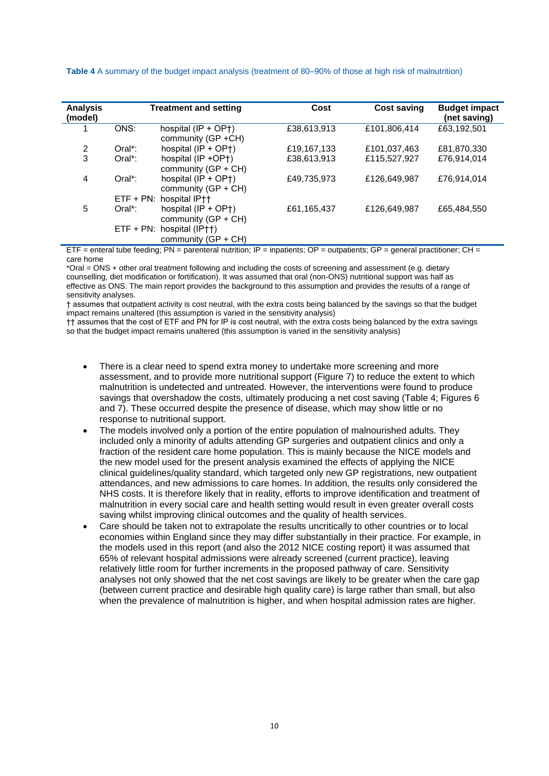| <b>Analysis</b><br>(model) |            | <b>Treatment and setting</b>                                         | Cost        | <b>Cost saving</b> | <b>Budget impact</b><br>(net saving) |
|----------------------------|------------|----------------------------------------------------------------------|-------------|--------------------|--------------------------------------|
|                            | ONS:       | hospital $(IP + OP+)$<br>community (GP +CH)                          | £38,613,913 | £101,806,414       | £63,192,501                          |
| 2                          | $Oral^*$ : | hospital $(IP + OP+)$                                                | £19,167,133 | £101,037,463       | £81,870,330                          |
| 3                          | $Oral^*$ : | hospital $(\text{IP} + \text{OP} + \text{O})$<br>community (GP + CH) | £38,613,913 | £115.527.927       | £76.914.014                          |
| 4                          | $Oral^*$ : | hospital $(IP + OP+)$<br>community (GP + CH)                         | £49,735,973 | £126,649,987       | £76,914,014                          |
|                            |            | ETF + PN: hospital IP++                                              |             |                    |                                      |
| 5                          | $Oral^*$ : | hospital $(IP + OP+)$<br>community (GP + CH)                         | £61,165,437 | £126,649,987       | £65,484,550                          |
|                            |            | ETF + PN: hospital (IP++)<br>community (GP + CH)                     |             |                    |                                      |

**Table 4** A summary of the budget impact analysis (treatment of 80–90% of those at high risk of malnutrition)

 $ETF =$  enteral tube feeding;  $PN =$  parenteral nutrition;  $IP =$  inpatients;  $OP =$  outpatients;  $GP =$  general practitioner;  $CH =$ care home

\*Oral = ONS + other oral treatment following and including the costs of screening and assessment (e.g. dietary counselling, diet modification or fortification). It was assumed that oral (non-ONS) nutritional support was half as effective as ONS. The main report provides the background to this assumption and provides the results of a range of sensitivity analyses.

† assumes that outpatient activity is cost neutral, with the extra costs being balanced by the savings so that the budget impact remains unaltered (this assumption is varied in the sensitivity analysis)

†† assumes that the cost of ETF and PN for IP is cost neutral, with the extra costs being balanced by the extra savings so that the budget impact remains unaltered (this assumption is varied in the sensitivity analysis)

- There is a clear need to spend extra money to undertake more screening and more assessment, and to provide more nutritional support (Figure 7) to reduce the extent to which malnutrition is undetected and untreated. However, the interventions were found to produce savings that overshadow the costs, ultimately producing a net cost saving (Table 4; Figures 6 and 7). These occurred despite the presence of disease, which may show little or no response to nutritional support.
- The models involved only a portion of the entire population of malnourished adults. They included only a minority of adults attending GP surgeries and outpatient clinics and only a fraction of the resident care home population. This is mainly because the NICE models and the new model used for the present analysis examined the effects of applying the NICE clinical guidelines/quality standard, which targeted only new GP registrations, new outpatient attendances, and new admissions to care homes. In addition, the results only considered the NHS costs. It is therefore likely that in reality, efforts to improve identification and treatment of malnutrition in every social care and health setting would result in even greater overall costs saving whilst improving clinical outcomes and the quality of health services.
- Care should be taken not to extrapolate the results uncritically to other countries or to local economies within England since they may differ substantially in their practice. For example, in the models used in this report (and also the 2012 NICE costing report) it was assumed that 65% of relevant hospital admissions were already screened (current practice), leaving relatively little room for further increments in the proposed pathway of care. Sensitivity analyses not only showed that the net cost savings are likely to be greater when the care gap (between current practice and desirable high quality care) is large rather than small, but also when the prevalence of malnutrition is higher, and when hospital admission rates are higher.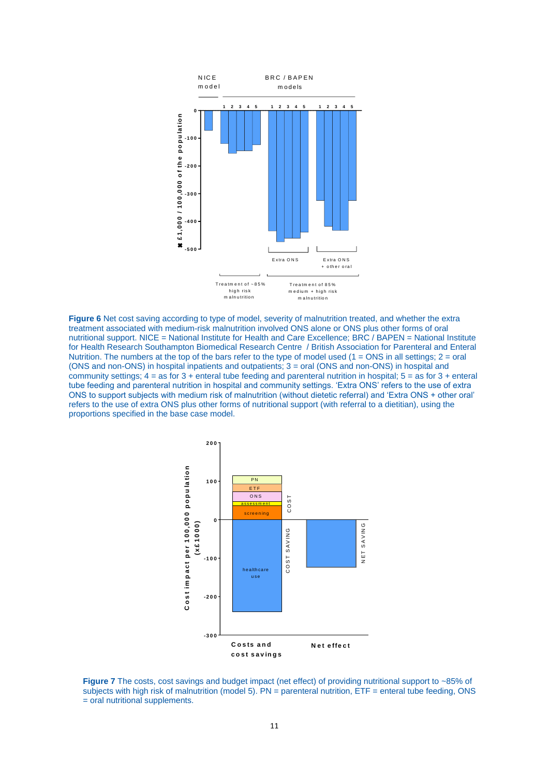

**Figure 6** Net cost saving according to type of model, severity of malnutrition treated, and whether the extra treatment associated with medium-risk malnutrition involved ONS alone or ONS plus other forms of oral nutritional support. NICE = National Institute for Health and Care Excellence; BRC / BAPEN = National Institute for Health Research Southampton Biomedical Research Centre / British Association for Parenteral and Enteral Nutrition. The numbers at the top of the bars refer to the type of model used  $(1 = ONS$  in all settings;  $2 = \text{oral}$ (ONS and non-ONS) in hospital inpatients and outpatients; 3 = oral (ONS and non-ONS) in hospital and community settings;  $4 = \text{as for } 3 + \text{enteral tube feeding and parenteral nutrition in hospital; } 5 = \text{as for } 3 + \text{enteral}$ tube feeding and parenteral nutrition in hospital and community settings. 'Extra ONS' refers to the use of extra ONS to support subjects with medium risk of malnutrition (without dietetic referral) and 'Extra ONS + other oral' refers to the use of extra ONS plus other forms of nutritional support (with referral to a dietitian), using the proportions specified in the base case model.



**Figure 7** The costs, cost savings and budget impact (net effect) of providing nutritional support to ~85% of subjects with high risk of malnutrition (model 5). PN = parenteral nutrition, ETF = enteral tube feeding, ONS = oral nutritional supplements.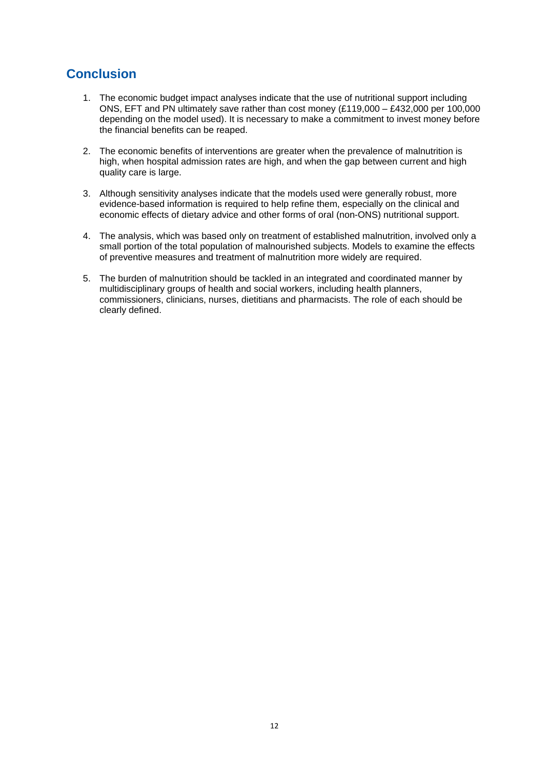## **Conclusion**

- 1. The economic budget impact analyses indicate that the use of nutritional support including ONS, EFT and PN ultimately save rather than cost money (£119,000 – £432,000 per 100,000 depending on the model used). It is necessary to make a commitment to invest money before the financial benefits can be reaped.
- 2. The economic benefits of interventions are greater when the prevalence of malnutrition is high, when hospital admission rates are high, and when the gap between current and high quality care is large.
- 3. Although sensitivity analyses indicate that the models used were generally robust, more evidence-based information is required to help refine them, especially on the clinical and economic effects of dietary advice and other forms of oral (non-ONS) nutritional support.
- 4. The analysis, which was based only on treatment of established malnutrition, involved only a small portion of the total population of malnourished subjects. Models to examine the effects of preventive measures and treatment of malnutrition more widely are required.
- 5. The burden of malnutrition should be tackled in an integrated and coordinated manner by multidisciplinary groups of health and social workers, including health planners, commissioners, clinicians, nurses, dietitians and pharmacists. The role of each should be clearly defined.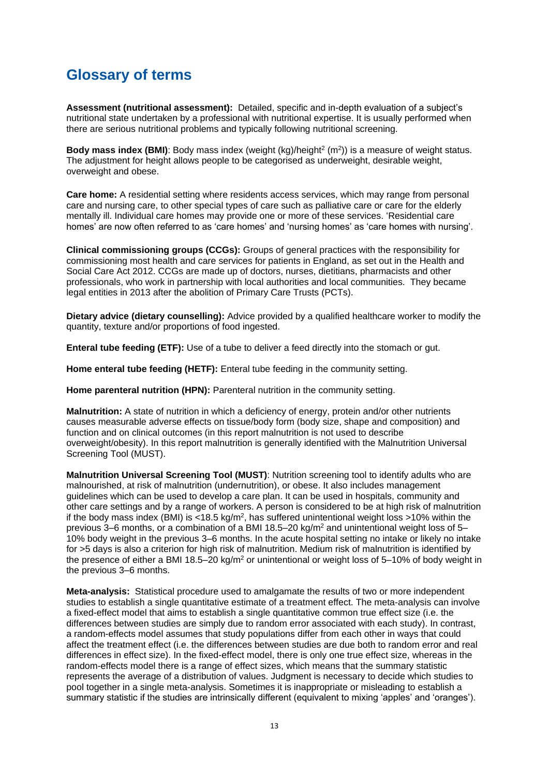## **Glossary of terms**

**Assessment (nutritional assessment):** Detailed, specific and in-depth evaluation of a subject's nutritional state undertaken by a professional with nutritional expertise. It is usually performed when there are serious nutritional problems and typically following nutritional screening.

**Body mass index (BMI)**: Body mass index (weight  $(kg)/height^2$  (m<sup>2</sup>)) is a measure of weight status. The adjustment for height allows people to be categorised as underweight, desirable weight, overweight and obese.

**Care home:** A residential setting where residents access services, which may range from personal care and nursing care, to other special types of care such as palliative care or care for the elderly mentally ill. Individual care homes may provide one or more of these services. 'Residential care homes' are now often referred to as 'care homes' and 'nursing homes' as 'care homes with nursing'.

**[Clinical commissioning groups](http://www.datadictionary.nhs.uk/data_dictionary/nhs_business_definitions/c/clinical_commissioning_group_de.asp?shownav=1) (CCGs):** Groups of general [practices](http://www.datadictionary.nhs.uk/data_dictionary/nhs_business_definitions/g/gp_practice_de.asp?shownav=1) with the responsibility for commissioning most health and care services for [patients](http://www.datadictionary.nhs.uk/data_dictionary/classes/p/patient_de.asp?shownav=1) in England, as set out in the Health and Social Care Act 2012. CCGs are made up of doctors, nurses, dietitians, pharmacists and other professionals, who work in partnership with local authorities and local communities. They became legal entities in 2013 after the abolition of Primary Care Trusts (PCTs).

**Dietary advice (dietary counselling):** Advice provided by a qualified healthcare worker to modify the quantity, texture and/or proportions of food ingested.

**Enteral tube feeding (ETF):** Use of a tube to deliver a feed directly into the stomach or gut.

**Home enteral tube feeding (HETF):** Enteral tube feeding in the community setting.

**Home parenteral nutrition (HPN):** Parenteral nutrition in the community setting.

**Malnutrition:** A state of nutrition in which a deficiency of energy, protein and/or other nutrients causes measurable adverse effects on tissue/body form (body size, shape and composition) and function and on clinical outcomes (in this report malnutrition is not used to describe overweight/obesity). In this report malnutrition is generally identified with the Malnutrition Universal Screening Tool (MUST).

**Malnutrition Universal Screening Tool (MUST)**: Nutrition screening tool to identify adults who are malnourished, at risk of malnutrition (undernutrition), or obese. It also includes management guidelines which can be used to develop a care plan. It can be used in hospitals, community and other care settings and by a range of workers. A person is considered to be at high risk of malnutrition if the body mass index (BMI) is <18.5 kg/m<sup>2</sup>, has suffered unintentional weight loss >10% within the previous 3–6 months, or a combination of a BMI 18.5–20 kg/m<sup>2</sup> and unintentional weight loss of 5– 10% body weight in the previous 3–6 months. In the acute hospital setting no intake or likely no intake for >5 days is also a criterion for high risk of malnutrition. Medium risk of malnutrition is identified by the presence of either a BMI 18.5–20 kg/m<sup>2</sup> or unintentional or weight loss of 5–10% of body weight in the previous 3–6 months.

**Meta-analysis:** Statistical procedure used to amalgamate the results of two or more independent studies to establish a single quantitative estimate of a treatment effect. The meta-analysis can involve a fixed-effect model that aims to establish a single quantitative common true effect size (i.e. the differences between studies are simply due to random error associated with each study). In contrast, a random-effects model assumes that study populations differ from each other in ways that could affect the treatment effect (i.e. the differences between studies are due both to random error and real differences in effect size). In the fixed-effect model, there is only one true effect size, whereas in the random-effects model there is a range of effect sizes, which means that the summary statistic represents the average of a distribution of values. Judgment is necessary to decide which studies to pool together in a single meta-analysis. Sometimes it is inappropriate or misleading to establish a summary statistic if the studies are intrinsically different (equivalent to mixing 'apples' and 'oranges').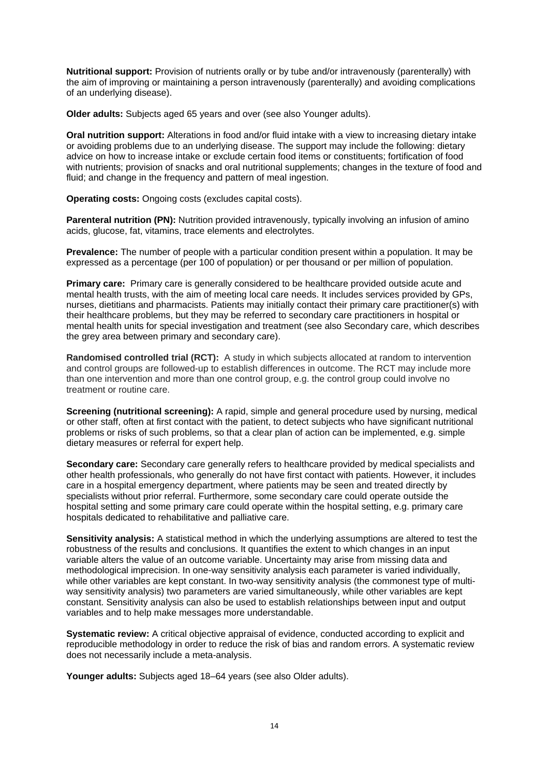**Nutritional support:** Provision of nutrients orally or by tube and/or intravenously (parenterally) with the aim of improving or maintaining a person intravenously (parenterally) and avoiding complications of an underlying disease).

**Older adults:** Subjects aged 65 years and over (see also Younger adults).

**Oral nutrition support:** Alterations in food and/or fluid intake with a view to increasing dietary intake or avoiding problems due to an underlying disease. The support may include the following: dietary advice on how to increase intake or exclude certain food items or constituents; fortification of food with nutrients; provision of snacks and oral nutritional supplements; changes in the texture of food and fluid; and change in the frequency and pattern of meal ingestion.

**Operating costs:** Ongoing costs (excludes capital costs).

**Parenteral nutrition (PN):** Nutrition provided intravenously, typically involving an infusion of amino acids, glucose, fat, vitamins, trace elements and electrolytes.

**Prevalence:** The number of people with a particular condition present within a population. It may be expressed as a percentage (per 100 of population) or per thousand or per million of population.

**Primary care:** Primary care is generally considered to be healthcare provided outside acute and mental health trusts, with the aim of meeting local care needs. It includes services provided by GPs, nurses, dietitians and pharmacists. Patients may initially contact their primary care practitioner(s) with their healthcare problems, but they may be referred to secondary care practitioners in hospital or mental health units for special investigation and treatment (see also Secondary care, which describes the grey area between primary and secondary care).

**Randomised controlled trial (RCT):** A study in which subjects allocated at random to intervention and control groups are followed-up to establish differences in outcome. The RCT may include more than one intervention and more than one control group, e.g. the control group could involve no treatment or routine care.

**Screening (nutritional screening):** A rapid, simple and general procedure used by nursing, medical or other staff, often at first contact with the patient, to detect subjects who have significant nutritional problems or risks of such problems, so that a clear plan of action can be implemented, e.g. simple dietary measures or referral for expert help.

**Secondary care:** Secondary care generally refers to healthcare provided by medical specialists and other health professionals, who generally do not have first contact with patients. However, it includes care in a hospital emergency department, where patients may be seen and treated directly by specialists without prior referral. Furthermore, some secondary care could operate outside the hospital setting and some primary care could operate within the hospital setting, e.g. primary care hospitals dedicated to rehabilitative and palliative care.

**Sensitivity analysis:** A statistical method in which the underlying assumptions are altered to test the robustness of the results and conclusions. It quantifies the extent to which changes in an input variable alters the value of an outcome variable. Uncertainty may arise from missing data and methodological imprecision. In one-way sensitivity analysis each parameter is varied individually, while other variables are kept constant. In two-way sensitivity analysis (the commonest type of multiway sensitivity analysis) two parameters are varied simultaneously, while other variables are kept constant. Sensitivity analysis can also be used to establish relationships between input and output variables and to help make messages more understandable.

**Systematic review:** A critical objective appraisal of evidence, conducted according to explicit and reproducible methodology in order to reduce the risk of bias and random errors. A systematic review does not necessarily include a meta-analysis.

**Younger adults:** Subjects aged 18–64 years (see also Older adults).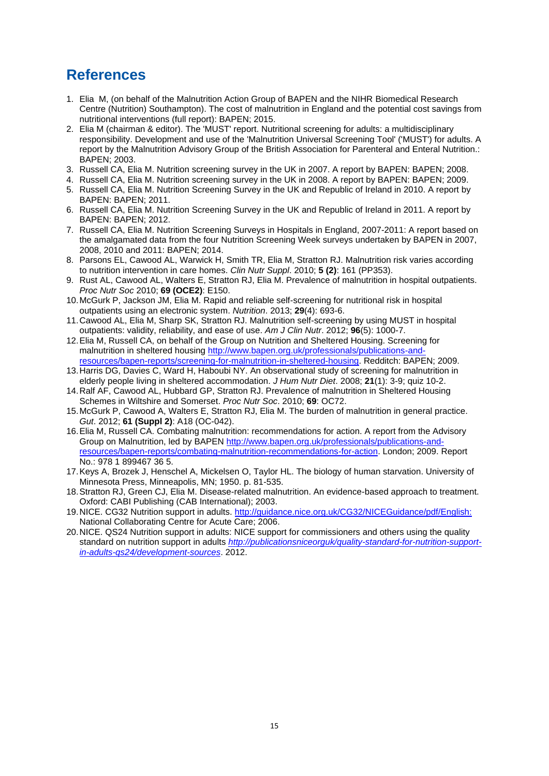## **References**

- <span id="page-19-0"></span>1. Elia M, (on behalf of the Malnutrition Action Group of BAPEN and the NIHR Biomedical Research Centre (Nutrition) Southampton). The cost of malnutrition in England and the potential cost savings from nutritional interventions (full report): BAPEN; 2015.
- <span id="page-19-1"></span>2. Elia M (chairman & editor). The 'MUST' report. Nutritional screening for adults: a multidisciplinary responsibility. Development and use of the 'Malnutrition Universal Screening Tool' ('MUST') for adults. A report by the Malnutrition Advisory Group of the British Association for Parenteral and Enteral Nutrition.: BAPEN; 2003.
- <span id="page-19-2"></span>3. Russell CA, Elia M. Nutrition screening survey in the UK in 2007. A report by BAPEN: BAPEN; 2008.
- 4. Russell CA, Elia M. Nutrition screening survey in the UK in 2008. A report by BAPEN: BAPEN; 2009.
- 5. Russell CA, Elia M. Nutrition Screening Survey in the UK and Republic of Ireland in 2010. A report by BAPEN: BAPEN; 2011.
- 6. Russell CA, Elia M. Nutrition Screening Survey in the UK and Republic of Ireland in 2011. A report by BAPEN: BAPEN; 2012.
- 7. Russell CA, Elia M. Nutrition Screening Surveys in Hospitals in England, 2007-2011: A report based on the amalgamated data from the four Nutrition Screening Week surveys undertaken by BAPEN in 2007, 2008, 2010 and 2011: BAPEN; 2014.
- <span id="page-19-3"></span>8. Parsons EL, Cawood AL, Warwick H, Smith TR, Elia M, Stratton RJ. Malnutrition risk varies according to nutrition intervention in care homes. *Clin Nutr Suppl*. 2010; **5 (2)**: 161 (PP353).
- <span id="page-19-4"></span>9. Rust AL, Cawood AL, Walters E, Stratton RJ, Elia M. Prevalence of malnutrition in hospital outpatients. *Proc Nutr Soc* 2010; **69 (OCE2)**: E150.
- 10.McGurk P, Jackson JM, Elia M. Rapid and reliable self-screening for nutritional risk in hospital outpatients using an electronic system. *Nutrition*. 2013; **29**(4): 693-6.
- 11.Cawood AL, Elia M, Sharp SK, Stratton RJ. Malnutrition self-screening by using MUST in hospital outpatients: validity, reliability, and ease of use. *Am J Clin Nutr*. 2012; **96**(5): 1000-7.
- <span id="page-19-5"></span>12.Elia M, Russell CA, on behalf of the Group on Nutrition and Sheltered Housing. Screening for malnutrition in sheltered housing [http://www.bapen.org.uk/professionals/publications-and](http://www.bapen.org.uk/professionals/publications-and-resources/bapen-reports/screening-for-malnutrition-in-sheltered-housing)[resources/bapen-reports/screening-for-malnutrition-in-sheltered-housing.](http://www.bapen.org.uk/professionals/publications-and-resources/bapen-reports/screening-for-malnutrition-in-sheltered-housing) Redditch: BAPEN; 2009.
- 13.Harris DG, Davies C, Ward H, Haboubi NY. An observational study of screening for malnutrition in elderly people living in sheltered accommodation. *J Hum Nutr Diet*. 2008; **21**(1): 3-9; quiz 10-2.
- 14.Ralf AF, Cawood AL, Hubbard GP, Stratton RJ. Prevalence of malnutrition in Sheltered Housing Schemes in Wiltshire and Somerset. *Proc Nutr Soc*. 2010; **69**: OC72.
- <span id="page-19-6"></span>15.McGurk P, Cawood A, Walters E, Stratton RJ, Elia M. The burden of malnutrition in general practice. *Gut*. 2012; **61 (Suppl 2)**: A18 (OC-042).
- <span id="page-19-7"></span>16.Elia M, Russell CA. Combating malnutrition: recommendations for action. A report from the Advisory Group on Malnutrition, led by BAPEN [http://www.bapen.org.uk/professionals/publications-and](http://www.bapen.org.uk/professionals/publications-and-resources/bapen-reports/combating-malnutrition-recommendations-for-action)[resources/bapen-reports/combating-malnutrition-recommendations-for-action.](http://www.bapen.org.uk/professionals/publications-and-resources/bapen-reports/combating-malnutrition-recommendations-for-action) London; 2009. Report No.: 978 1 899467 36 5.
- 17.Keys A, Brozek J, Henschel A, Mickelsen O, Taylor HL. The biology of human starvation. University of Minnesota Press, Minneapolis, MN; 1950. p. 81-535.
- 18.Stratton RJ, Green CJ, Elia M. Disease-related malnutrition. An evidence-based approach to treatment. Oxford: CABI Publishing (CAB International); 2003.
- <span id="page-19-8"></span>19.NICE. CG32 Nutrition support in adults.<http://guidance.nice.org.uk/CG32/NICEGuidance/pdf/English:> National Collaborating Centre for Acute Care; 2006.
- <span id="page-19-9"></span>20.NICE. QS24 Nutrition support in adults: NICE support for commissioners and others using the quality standard on nutrition support in adults *[http://publicationsniceorguk/quality-standard-for-nutrition-support](http://publicationsniceorguk/quality-standard-for-nutrition-support-in-adults-qs24/development-sources)[in-adults-qs24/development-sources](http://publicationsniceorguk/quality-standard-for-nutrition-support-in-adults-qs24/development-sources)*. 2012.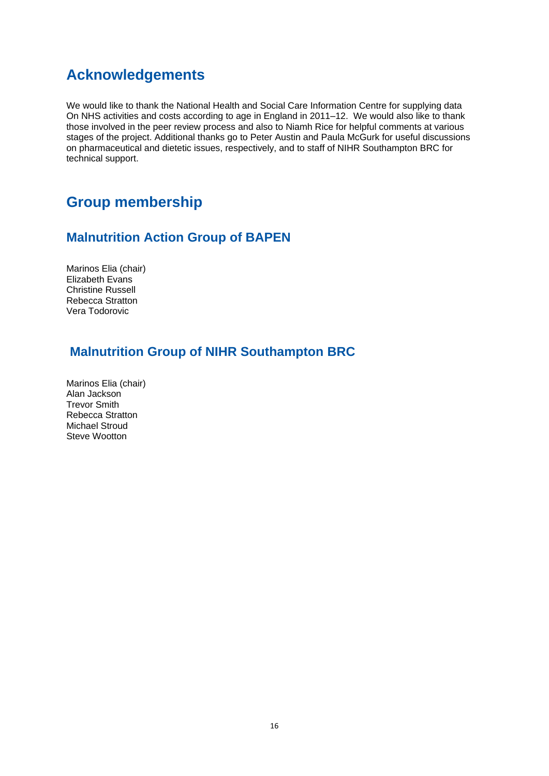## **Acknowledgements**

We would like to thank the National Health and Social Care Information Centre for supplying data On NHS activities and costs according to age in England in 2011–12. We would also like to thank those involved in the peer review process and also to Niamh Rice for helpful comments at various stages of the project. Additional thanks go to Peter Austin and Paula McGurk for useful discussions on pharmaceutical and dietetic issues, respectively, and to staff of NIHR Southampton BRC for technical support.

## **Group membership**

#### **Malnutrition Action Group of BAPEN**

Marinos Elia (chair) Elizabeth Evans Christine Russell Rebecca Stratton Vera Todorovic

### **Malnutrition Group of NIHR Southampton BRC**

Marinos Elia (chair) Alan Jackson Trevor Smith Rebecca Stratton Michael Stroud Steve Wootton